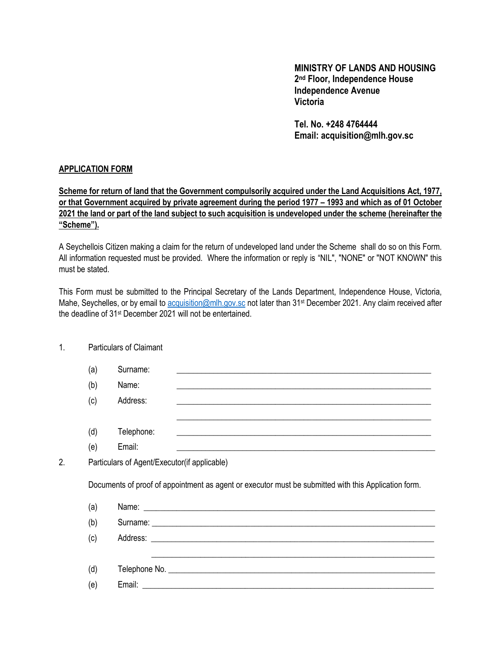### **MINISTRY OF LANDS AND HOUSING 2 nd Floor, Independence House Independence Avenue Victoria**

**Tel. No. +248 4764444 Email: acquisition@mlh.gov.sc**

#### **APPLICATION FORM**

#### **Scheme for return of land that the Government compulsorily acquired under the Land Acquisitions Act, 1977, or that Government acquired by private agreement during the period 1977 – 1993 and which as of 01 October 2021 the land or part of the land subject to such acquisition is undeveloped under the scheme (hereinafter the "Scheme").**

A Seychellois Citizen making a claim for the return of undeveloped land under the Scheme shall do so on this Form. All information requested must be provided. Where the information or reply is "NIL", "NONE" or "NOT KNOWN" this must be stated.

This Form must be submitted to the Principal Secretary of the Lands Department, Independence House, Victoria, Mahe, Seychelles, or by email to [acquisition@mlh.gov.sc](mailto:acquisition@mlh.gov.sc) not later than 31<sup>st</sup> December 2021. Any claim received after the deadline of 31st December 2021 will not be entertained.

| 1. |                                                                                                      | <b>Particulars of Claimant</b>                                                                                                                                                                                                 |  |
|----|------------------------------------------------------------------------------------------------------|--------------------------------------------------------------------------------------------------------------------------------------------------------------------------------------------------------------------------------|--|
|    | (a)                                                                                                  | Surname:<br>and the control of the control of the control of the control of the control of the control of the control of the                                                                                                   |  |
|    | (b)                                                                                                  | Name:<br><u> 1989 - Johann Stoff, amerikansk politiker (d. 1989)</u>                                                                                                                                                           |  |
|    | (c)                                                                                                  | Address:                                                                                                                                                                                                                       |  |
|    | (d)                                                                                                  | <u> 1989 - Jan Samuel Barbara, margaret a shekara ta 1989 - Anna an tsaran a shekara tsa a shekara tsa a shekara</u><br>Telephone:                                                                                             |  |
|    | (e)                                                                                                  | Email:                                                                                                                                                                                                                         |  |
| 2. | Particulars of Agent/Executor(if applicable)                                                         |                                                                                                                                                                                                                                |  |
|    | Documents of proof of appointment as agent or executor must be submitted with this Application form. |                                                                                                                                                                                                                                |  |
|    | (a)                                                                                                  |                                                                                                                                                                                                                                |  |
|    | (b)                                                                                                  | Surname: Lawrence and the state of the state of the state of the state of the state of the state of the state of the state of the state of the state of the state of the state of the state of the state of the state of the s |  |
|    | (c)                                                                                                  |                                                                                                                                                                                                                                |  |
|    | (d)                                                                                                  | ,我们也不能在这里的时候,我们也不能在这里的时候,我们也不能在这里的时候,我们也不能会在这里的时候,我们也不能会在这里的时候,我们也不能会在这里的时候,我们也不                                                                                                                                               |  |
|    | (e)                                                                                                  |                                                                                                                                                                                                                                |  |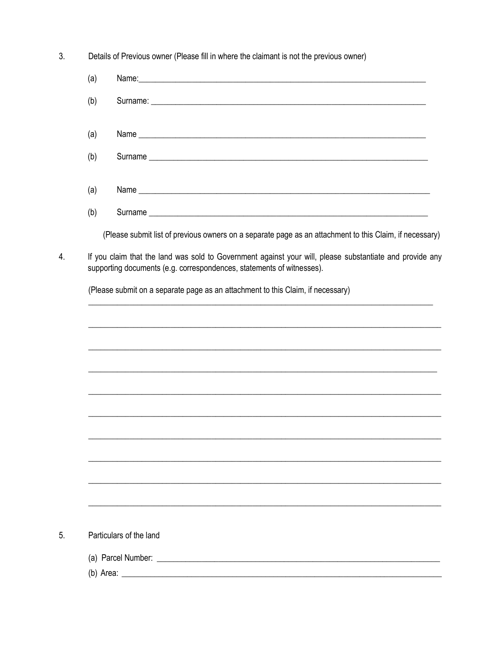$3.$ Details of Previous owner (Please fill in where the claimant is not the previous owner)

4.

5.

| (a) |                                                                                                                                                                                   |
|-----|-----------------------------------------------------------------------------------------------------------------------------------------------------------------------------------|
| (b) |                                                                                                                                                                                   |
| (a) |                                                                                                                                                                                   |
| (b) | Surname                                                                                                                                                                           |
| (a) |                                                                                                                                                                                   |
| (b) |                                                                                                                                                                                   |
|     | (Please submit list of previous owners on a separate page as an attachment to this Claim, if necessary)                                                                           |
|     | If you claim that the land was sold to Government against your will, please substantiate and provide any<br>supporting documents (e.g. correspondences, statements of witnesses). |
|     | (Please submit on a separate page as an attachment to this Claim, if necessary)                                                                                                   |
|     |                                                                                                                                                                                   |
|     | ,我们也不能在这里的时候,我们也不能在这里的时候,我们也不能会在这里的时候,我们也不能会在这里的时候,我们也不能会在这里的时候,我们也不能会在这里的时候,我们也不                                                                                                 |
|     | ,我们也不能在这里的时候,我们也不能在这里的时候,我们也不能在这里的时候,我们也不能会不能会不能会不能会不能会不能会不能会不能会。<br>第2012章 我们的时候,我们的时候,我们的时候,我们的时候,我们的时候,我们的时候,我们的时候,我们的时候,我们的时候,我们的时候,我们的时候,我们的时候,我                             |
|     | ,我们也不能在这里的时候,我们也不能在这里的时候,我们也不能在这里的时候,我们也不能会在这里的时候,我们也不能会在这里的时候,我们也不能会在这里的时候,我们也不                                                                                                  |
|     |                                                                                                                                                                                   |
|     |                                                                                                                                                                                   |
|     |                                                                                                                                                                                   |
|     |                                                                                                                                                                                   |
|     |                                                                                                                                                                                   |
|     |                                                                                                                                                                                   |
|     |                                                                                                                                                                                   |
|     |                                                                                                                                                                                   |
|     | Particulars of the land                                                                                                                                                           |
|     |                                                                                                                                                                                   |
|     |                                                                                                                                                                                   |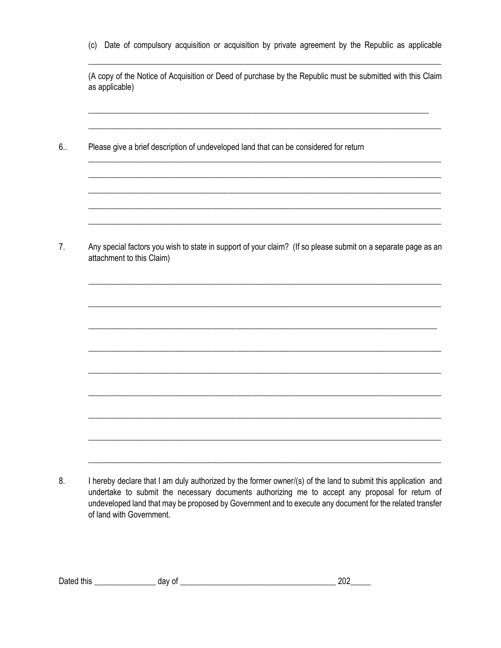(c) Date of compulsory acquisition or acquisition by private agreement by the Republic as applicable \_\_\_\_\_\_\_\_\_\_\_\_\_\_\_\_\_\_\_\_\_\_\_\_\_\_\_\_\_\_\_\_\_\_\_\_\_\_\_\_\_\_\_\_\_\_\_\_\_\_\_\_\_\_\_\_\_\_\_\_\_\_\_\_\_\_\_\_\_\_\_\_\_\_\_\_\_\_\_\_\_\_\_\_\_\_

(A copy of the Notice of Acquisition or Deed of purchase by the Republic must be submitted with this Claim as applicable)

\_\_\_\_\_\_\_\_\_\_\_\_\_\_\_\_\_\_\_\_\_\_\_\_\_\_\_\_\_\_\_\_\_\_\_\_\_\_\_\_\_\_\_\_\_\_\_\_\_\_\_\_\_\_\_\_\_\_\_\_\_\_\_\_\_\_\_\_\_\_\_\_\_\_\_\_\_\_\_\_\_\_\_

\_\_\_\_\_\_\_\_\_\_\_\_\_\_\_\_\_\_\_\_\_\_\_\_\_\_\_\_\_\_\_\_\_\_\_\_\_\_\_\_\_\_\_\_\_\_\_\_\_\_\_\_\_\_\_\_\_\_\_\_\_\_\_\_\_\_\_\_\_\_\_\_\_\_\_\_\_\_\_\_\_\_\_\_\_\_

\_\_\_\_\_\_\_\_\_\_\_\_\_\_\_\_\_\_\_\_\_\_\_\_\_\_\_\_\_\_\_\_\_\_\_\_\_\_\_\_\_\_\_\_\_\_\_\_\_\_\_\_\_\_\_\_\_\_\_\_\_\_\_\_\_\_\_\_\_\_\_\_\_\_\_\_\_\_\_\_\_\_\_\_\_\_ \_\_\_\_\_\_\_\_\_\_\_\_\_\_\_\_\_\_\_\_\_\_\_\_\_\_\_\_\_\_\_\_\_\_\_\_\_\_\_\_\_\_\_\_\_\_\_\_\_\_\_\_\_\_\_\_\_\_\_\_\_\_\_\_\_\_\_\_\_\_\_\_\_\_\_\_\_\_\_\_\_\_\_\_\_\_ \_\_\_\_\_\_\_\_\_\_\_\_\_\_\_\_\_\_\_\_\_\_\_\_\_\_\_\_\_\_\_\_\_\_\_\_\_\_\_\_\_\_\_\_\_\_\_\_\_\_\_\_\_\_\_\_\_\_\_\_\_\_\_\_\_\_\_\_\_\_\_\_\_\_\_\_\_\_\_\_\_\_\_\_\_\_ \_\_\_\_\_\_\_\_\_\_\_\_\_\_\_\_\_\_\_\_\_\_\_\_\_\_\_\_\_\_\_\_\_\_\_\_\_\_\_\_\_\_\_\_\_\_\_\_\_\_\_\_\_\_\_\_\_\_\_\_\_\_\_\_\_\_\_\_\_\_\_\_\_\_\_\_\_\_\_\_\_\_\_\_\_\_ \_\_\_\_\_\_\_\_\_\_\_\_\_\_\_\_\_\_\_\_\_\_\_\_\_\_\_\_\_\_\_\_\_\_\_\_\_\_\_\_\_\_\_\_\_\_\_\_\_\_\_\_\_\_\_\_\_\_\_\_\_\_\_\_\_\_\_\_\_\_\_\_\_\_\_\_\_\_\_\_\_\_\_\_\_\_

6.. Please give a brief description of undeveloped land that can be considered for return

7. Any special factors you wish to state in support of your claim? (If so please submit on a separate page as an attachment to this Claim)

\_\_\_\_\_\_\_\_\_\_\_\_\_\_\_\_\_\_\_\_\_\_\_\_\_\_\_\_\_\_\_\_\_\_\_\_\_\_\_\_\_\_\_\_\_\_\_\_\_\_\_\_\_\_\_\_\_\_\_\_\_\_\_\_\_\_\_\_\_\_\_\_\_\_\_\_\_\_\_\_\_\_\_\_\_\_

\_\_\_\_\_\_\_\_\_\_\_\_\_\_\_\_\_\_\_\_\_\_\_\_\_\_\_\_\_\_\_\_\_\_\_\_\_\_\_\_\_\_\_\_\_\_\_\_\_\_\_\_\_\_\_\_\_\_\_\_\_\_\_\_\_\_\_\_\_\_\_\_\_\_\_\_\_\_\_\_\_\_\_\_\_\_

\_\_\_\_\_\_\_\_\_\_\_\_\_\_\_\_\_\_\_\_\_\_\_\_\_\_\_\_\_\_\_\_\_\_\_\_\_\_\_\_\_\_\_\_\_\_\_\_\_\_\_\_\_\_\_\_\_\_\_\_\_\_\_\_\_\_\_\_\_\_\_\_\_\_\_\_\_\_\_\_\_\_\_\_\_

\_\_\_\_\_\_\_\_\_\_\_\_\_\_\_\_\_\_\_\_\_\_\_\_\_\_\_\_\_\_\_\_\_\_\_\_\_\_\_\_\_\_\_\_\_\_\_\_\_\_\_\_\_\_\_\_\_\_\_\_\_\_\_\_\_\_\_\_\_\_\_\_\_\_\_\_\_\_\_\_\_\_\_\_\_\_

\_\_\_\_\_\_\_\_\_\_\_\_\_\_\_\_\_\_\_\_\_\_\_\_\_\_\_\_\_\_\_\_\_\_\_\_\_\_\_\_\_\_\_\_\_\_\_\_\_\_\_\_\_\_\_\_\_\_\_\_\_\_\_\_\_\_\_\_\_\_\_\_\_\_\_\_\_\_\_\_\_\_\_\_\_\_

\_\_\_\_\_\_\_\_\_\_\_\_\_\_\_\_\_\_\_\_\_\_\_\_\_\_\_\_\_\_\_\_\_\_\_\_\_\_\_\_\_\_\_\_\_\_\_\_\_\_\_\_\_\_\_\_\_\_\_\_\_\_\_\_\_\_\_\_\_\_\_\_\_\_\_\_\_\_\_\_\_\_\_\_\_\_

\_\_\_\_\_\_\_\_\_\_\_\_\_\_\_\_\_\_\_\_\_\_\_\_\_\_\_\_\_\_\_\_\_\_\_\_\_\_\_\_\_\_\_\_\_\_\_\_\_\_\_\_\_\_\_\_\_\_\_\_\_\_\_\_\_\_\_\_\_\_\_\_\_\_\_\_\_\_\_\_\_\_\_\_\_\_

\_\_\_\_\_\_\_\_\_\_\_\_\_\_\_\_\_\_\_\_\_\_\_\_\_\_\_\_\_\_\_\_\_\_\_\_\_\_\_\_\_\_\_\_\_\_\_\_\_\_\_\_\_\_\_\_\_\_\_\_\_\_\_\_\_\_\_\_\_\_\_\_\_\_\_\_\_\_\_\_\_\_\_\_\_\_

\_\_\_\_\_\_\_\_\_\_\_\_\_\_\_\_\_\_\_\_\_\_\_\_\_\_\_\_\_\_\_\_\_\_\_\_\_\_\_\_\_\_\_\_\_\_\_\_\_\_\_\_\_\_\_\_\_\_\_\_\_\_\_\_\_\_\_\_\_\_\_\_\_\_\_\_\_\_\_\_\_\_\_\_\_\_

<sup>8.</sup> I hereby declare that I am duly authorized by the former owner/(s) of the land to submit this application and undertake to submit the necessary documents authorizing me to accept any proposal for return of undeveloped land that may be proposed by Government and to execute any document for the related transfer of land with Government.